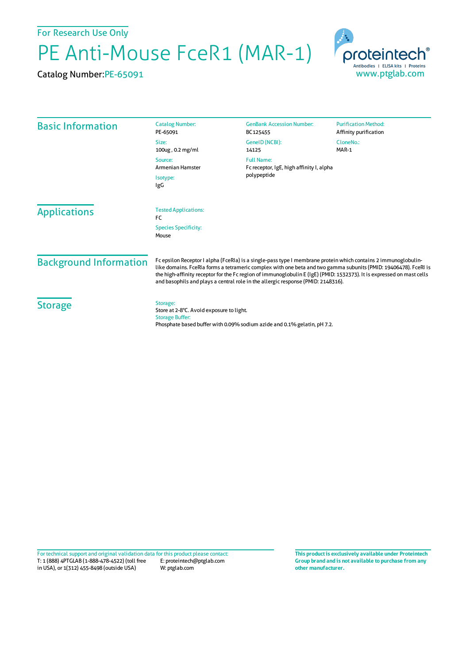For Research Use Only

## PE Anti-Mouse FceR1 (MAR-1)

Catalog Number:PE-65091



| <b>Basic Information</b>             | <b>Catalog Number:</b><br>PE-65091                                                                                                                                                                                                                                                                                                                                                                                                             | <b>GenBank Accession Number:</b><br>BC125455                                 | <b>Purification Method:</b><br>Affinity purification |
|--------------------------------------|------------------------------------------------------------------------------------------------------------------------------------------------------------------------------------------------------------------------------------------------------------------------------------------------------------------------------------------------------------------------------------------------------------------------------------------------|------------------------------------------------------------------------------|------------------------------------------------------|
|                                      | Size:<br>100ug, 0.2 mg/ml                                                                                                                                                                                                                                                                                                                                                                                                                      | GeneID (NCBI):<br>14125                                                      | CloneNo.:<br>MAR-1                                   |
|                                      | Source:<br>Armenian Hamster<br>Isotype:<br>IgG                                                                                                                                                                                                                                                                                                                                                                                                 | <b>Full Name:</b><br>Fc receptor, IgE, high affinity I, alpha<br>polypeptide |                                                      |
|                                      |                                                                                                                                                                                                                                                                                                                                                                                                                                                |                                                                              |                                                      |
| <b>Species Specificity:</b><br>Mouse |                                                                                                                                                                                                                                                                                                                                                                                                                                                |                                                                              |                                                      |
| <b>Background Information</b>        | Fc epsilon Receptor I alpha (FceRIa) is a single-pass type I membrane protein which contains 2 immunoglobulin-<br>like domains. FceRIa forms a tetrameric complex with one beta and two gamma subunits (PMID: 19406478). FceRI is<br>the high-affinity receptor for the Fc region of immunoglobulin E (IgE) (PMID: 1532373). It is expressed on mast cells<br>and basophils and plays a central role in the allergic response (PMID: 2148316). |                                                                              |                                                      |
| <b>Storage</b>                       | Storage:<br>Store at 2-8°C. Avoid exposure to light.<br><b>Storage Buffer:</b>                                                                                                                                                                                                                                                                                                                                                                 | Phosphate based buffer with 0.09% sodium azide and 0.1% gelatin, pH 7.2.     |                                                      |

T: 1 (888) 4PTGLAB (1-888-478-4522) (toll free in USA), or 1(312) 455-8498 (outside USA) E: proteintech@ptglab.com W: ptglab.com Fortechnical support and original validation data forthis product please contact: **This productis exclusively available under Proteintech**

**Group brand and is not available to purchase from any other manufacturer.**